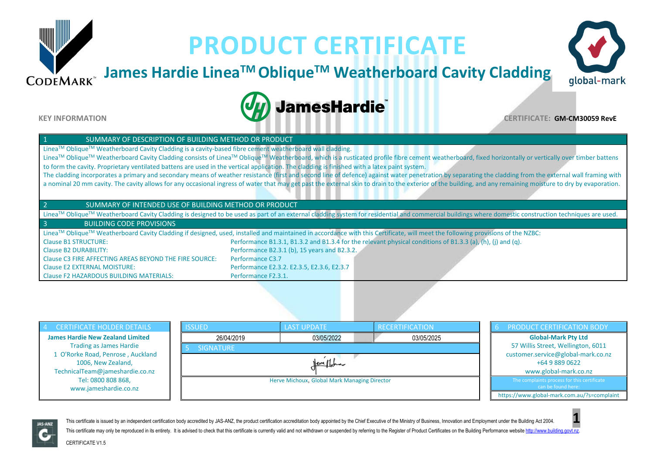## **James Hardie LineaTM ObliqueTM Weatherboard Cavity Cladding**





 $CODEMARK^*$ 

**KEY INFORMATION CERTIFICATE: GM-CM30059 RevE**

#### SUMMARY OF DESCRIPTION OF BUILDING METHOD OR PRODUCT

LineaTM ObliqueTM Weatherboard Cavity Cladding is a cavity-based fibre cement weatherboard wall cladding.

Linea™ Oblique™ Weatherboard Cavity Cladding consists of Linea™ Oblique™ Weatherboard, which is a rusticated profile fibre cement weatherboard, fixed horizontally or vertically over timber battens to form the cavity. Proprietary ventilated battens are used in the vertical application. The cladding is finished with a latex paint system.

**JamesHardie** 

The cladding incorporates a primary and secondary means of weather resistance (first and second line of defence) against water penetration by separating the cladding from the external wall framing with a nominal 20 mm cavity. The cavity allows for any occasional ingress of water that may get past the external skin to drain to the exterior of the building, and any remaining moisture to dry by evaporation.

#### 2 SUMMARY OF INTENDED USE OF BUILDING METHOD OR PRODUCT

Linea™ Oblique™ Weatherboard Cavity Cladding is designed to be used as part of an external cladding system for residential and commercial buildings where domestic construction techniques are used.

#### 3 BUILDING CODE PROVISIONS

Linea™ Oblique<sup>™</sup> Weatherboard Cavity Cladding if designed, used, installed and maintained in accordance with this Certificate, will meet the following provisions of the NZBC: Clause B1 STRUCTURE: Performance B1.3.1, B1.3.2 and B1.3.4 for the relevant physical conditions of B1.3.3 (a), (h), (j) and (q). Clause B2 DURABILITY: Performance B2.3.1 (b), 15 years and B2.3.2. Clause C3 FIRE AFFECTING AREAS BEYOND THE FIRE SOURCE: Performance C3.7 Clause E2 EXTERNAL MOISTURE: Performance E2.3.2. E2.3.5, E2.3.6, E2.3.7 Clause F2 HAZARDOUS BUILDING MATERIALS: Performance F2.3.1.





This certificate is issued by an independent certification body accredited by JAS-ANZ, the product certification accreditation body appointed by the Chief Executive of the Ministry of Business, Innovation and Employment un This certificate may only be reproduced in its entirety. It is advised to check that this certificate is currently valid and not withdrawn or suspended by referring to the Register of Product Certificates on the Building P

CERTIFICATE V1.5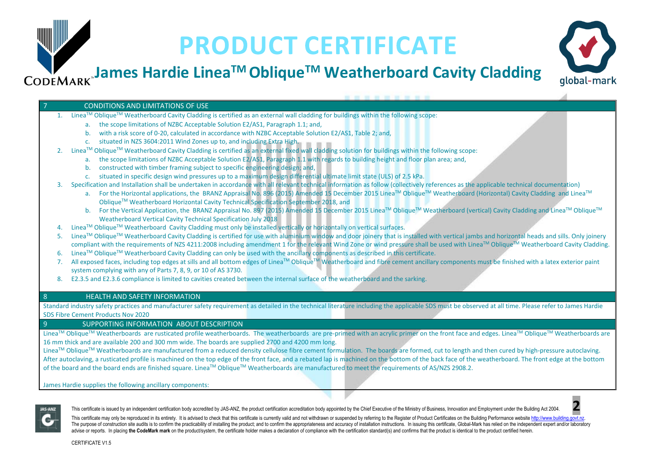## **James Hardie LineaTM ObliqueTM Weatherboard Cavity Cladding**



#### 7 CONDITIONS AND LIMITATIONS OF USE

- 1. Linea<sup>TM</sup> Oblique<sup>TM</sup> Weatherboard Cavity Cladding is certified as an external wall cladding for buildings within the following scope:
	- a. the scope limitations of NZBC Acceptable Solution E2/AS1, Paragraph 1.1; and,
	- b. with a risk score of 0-20, calculated in accordance with NZBC Acceptable Solution E2/AS1, Table 2; and,
	- c. situated in NZS 3604:2011 Wind Zones up to, and including Extra High.
- 2. Linea™ Oblique™ Weatherboard Cavity Cladding is certified as an external fixed wall cladding solution for buildings within the following scope:
	- a. the scope limitations of NZBC Acceptable Solution E2/AS1, Paragraph 1.1 with regards to building height and floor plan area; and,
	- b. constructed with timber framing subject to specific engineering design; and,
	- c. situated in specific design wind pressures up to a maximum design differential ultimate limit state (ULS) of 2.5 kPa.
- 3. Specification and Installation shall be undertaken in accordance with all relevant technical information as follow (collectively references as the applicable technical documentation)
	- a. For the Horizontal applications, the BRANZ Appraisal No. 896 (2015) Amended 15 December 2015 Linea™ Oblique™ Weatherboard (Horizontal) Cavity Cladding and Linea™ ObliqueTM Weatherboard Horizontal Cavity Technical Specification September 2018, and
	- b. For the Vertical Application, the BRANZ Appraisal No. 897 (2015) Amended 15 December 2015 Linea™ Oblique™ Weatherboard (vertical) Cavity Cladding and Linea™ Oblique™ Weatherboard Vertical Cavity Technical Specification July 2018
- 4. LineaTM ObliqueTM Weatherboard Cavity Cladding must only be installed vertically or horizontally on vertical surfaces.
- 5. Linea™ Oblique™ Weatherboard Cavity Cladding is certified for use with aluminium window and door joinery that is installed with vertical jambs and horizontal heads and sills. Only joinery compliant with the requirements of NZS 4211:2008 including amendment 1 for the relevant Wind Zone or wind pressure shall be used with Linea™ Oblique™ Weatherboard Cavity Cladding.
- 6. Linea<sup>TM</sup> Oblique<sup>TM</sup> Weatherboard Cavity Cladding can only be used with the ancillary components as described in this certificate.
- 7. All exposed faces, including top edges at sills and all bottom edges of Linea™ Oblique™ Weatherboard and fibre cement ancillary components must be finished with a latex exterior paint system complying with any of Parts 7, 8, 9, or 10 of AS 3730.
- 8. E2.3.5 and E2.3.6 compliance is limited to cavities created between the internal surface of the weatherboard and the sarking.

### 8 HEALTH AND SAFETY INFORMATION

Standard industry safety practices and manufacturer safety requirement as detailed in the technical literature including the applicable SDS must be observed at all time. Please refer to James Hardie SDS Fibre Cement Products Nov 2020

#### 9 SUPPORTING INFORMATION ABOUT DESCRIPTION

Linea™ Oblique™ Weatherboards are rusticated profile weatherboards. The weatherboards are pre-primed with an acrylic primer on the front face and edges. Linea™ Oblique™ Weatherboards are 16 mm thick and are available 200 and 300 mm wide. The boards are supplied 2700 and 4200 mm long.

Linea™ Oblique™ Weatherboards are manufactured from a reduced density cellulose fibre cement formulation. The boards are formed, cut to length and then cured by high-pressure autoclaving. After autoclaving, a rusticated profile is machined on the top edge of the front face, and a rebated lap is machined on the bottom of the back face of the weatherboard. The front edge at the bottom of the board and the board ends are finished square. Linea™ Molique™ Weatherboards are manufactured to meet the requirements of AS/NZS 2908.2.

James Hardie supplies the following ancillary components:



This certificate is issued by an independent certification body accredited by JAS-ANZ, the product certification accreditation body appointed by the Chief Executive of the Ministry of Business. Innovation and Employment un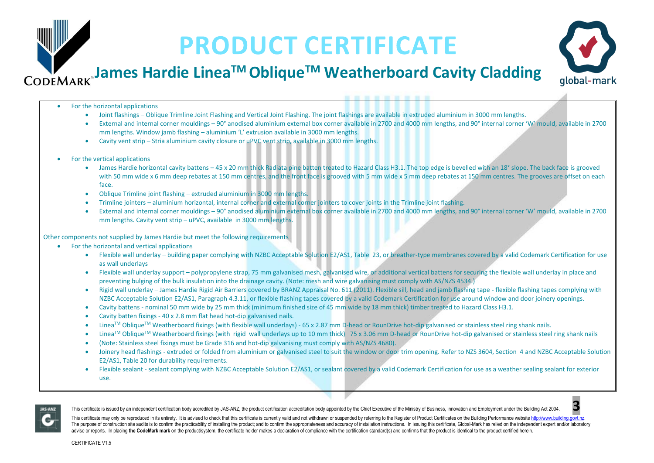# global-mark

## **James Hardie LineaTM ObliqueTM Weatherboard Cavity Cladding**

- For the horizontal applications
	- Joint flashings Oblique Trimline Joint Flashing and Vertical Joint Flashing. The joint flashings are available in extruded aluminium in 3000 mm lengths.
	- External and internal corner mouldings 90° anodised aluminium external box corner available in 2700 and 4000 mm lengths, and 90° internal corner 'W' mould, available in 2700 mm lengths. Window jamb flashing – aluminium 'L' extrusion available in 3000 mm lengths.
	- Cavity vent strip Stria aluminium cavity closure or uPVC vent strip, available in 3000 mm lengths.
- For the vertical applications
	- James Hardie horizontal cavity battens 45 x 20 mm thick Radiata pine batten treated to Hazard Class H3.1. The top edge is bevelled with an 18° slope. The back face is grooved with 50 mm wide x 6 mm deep rebates at 150 mm centres, and the front face is grooved with 5 mm wide x 5 mm deep rebates at 150 mm centres. The grooves are offset on each face.
	- Oblique Trimline joint flashing extruded aluminium in 3000 mm lengths.
	- Trimline jointers aluminium horizontal, internal corner and external corner jointers to cover joints in the Trimline joint flashing.
	- External and internal corner mouldings 90° anodised aluminium external box corner available in 2700 and 4000 mm lengths, and 90° internal corner 'W' mould, available in 2700 mm lengths. Cavity vent strip – uPVC, available in 3000 mm lengths.

Other components not supplied by James Hardie but meet the following requirements

- For the horizontal and vertical applications
	- Flexible wall underlay building paper complying with NZBC Acceptable Solution E2/AS1, Table 23, or breather-type membranes covered by a valid Codemark Certification for use as wall underlays
	- Flexible wall underlay support polypropylene strap, 75 mm galvanised mesh, galvanised wire, or additional vertical battens for securing the flexible wall underlay in place and preventing bulging of the bulk insulation into the drainage cavity. (Note: mesh and wire galvanising must comply with AS/NZS 4534.)
	- Rigid wall underlay James Hardie Rigid Air Barriers covered by BRANZ Appraisal No. 611 (2011). Flexible sill, head and jamb flashing tape flexible flashing tapes complying with NZBC Acceptable Solution E2/AS1, Paragraph 4.3.11, or flexible flashing tapes covered by a valid Codemark Certification for use around window and door joinery openings.
	- Cavity battens nominal 50 mm wide by 25 mm thick (minimum finished size of 45 mm wide by 18 mm thick) timber treated to Hazard Class H3.1.
	- Cavity batten fixings 40 x 2.8 mm flat head hot-dip galvanised nails.
	- Linea<sup>™</sup> Oblique<sup>™</sup> Weatherboard fixings (with flexible wall underlays) 65 x 2.87 mm D-head or RounDrive hot-dip galvanised or stainless steel ring shank nails.
	- Linea<sup>™</sup> Oblique<sup>™</sup> Weatherboard fixings (with rigid wall underlays up to 10 mm thick) 75 x 3.06 mm D-head or RounDrive hot-dip galvanised or stainless steel ring shank nails
	- (Note: Stainless steel fixings must be Grade 316 and hot-dip galvanising must comply with AS/NZS 4680).
	- Joinery head flashings extruded or folded from aluminium or galvanised steel to suit the window or door trim opening. Refer to NZS 3604, Section 4 and NZBC Acceptable Solution E2/AS1, Table 20 for durability requirements.
	- Flexible sealant sealant complying with NZBC Acceptable Solution E2/AS1, or sealant covered by a valid Codemark Certification for use as a weather sealing sealant for exterior use.



This certificate is issued by an independent certification body accredited by JAS-ANZ. the product certification accreditation body appointed by the Chief Executive of the Ministry of Business. Innovation and Employment u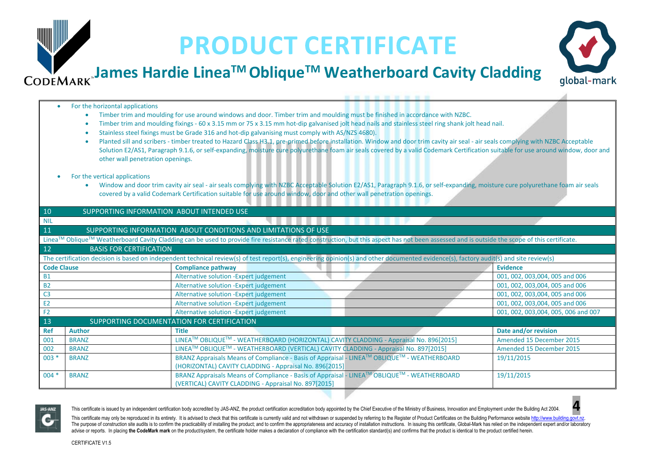# global-mark

### **James Hardie LineaTM ObliqueTM Weatherboard Cavity Cladding CODEMARK**

#### • For the horizontal applications

- Timber trim and moulding for use around windows and door. Timber trim and moulding must be finished in accordance with NZBC.
- Timber trim and moulding fixings 60 x 3.15 mm or 75 x 3.15 mm hot-dip galvanised jolt head nails and stainless steel ring shank jolt head nail.
- Stainless steel fixings must be Grade 316 and hot-dip galvanising must comply with AS/NZS 4680).
- Planted sill and scribers timber treated to Hazard Class H3.1, pre-primed before installation. Window and door trim cavity air seal air seals complying with NZBC Acceptable Solution E2/AS1, Paragraph 9.1.6, or self-expanding, moisture cure polyurethane foam air seals covered by a valid Codemark Certification suitable for use around window, door and other wall penetration openings.

#### • For the vertical applications

• Window and door trim cavity air seal - air seals complying with NZBC Acceptable Solution E2/AS1, Paragraph 9.1.6, or self-expanding, moisture cure polyurethane foam air seals covered by a valid Codemark Certification suitable for use around window, door and other wall penetration openings.

| 10<br>SUPPORTING INFORMATION ABOUT INTENDED USE                                                                                                                                             |                                                                |                                                                                                          |  |                                     |  |  |  |
|---------------------------------------------------------------------------------------------------------------------------------------------------------------------------------------------|----------------------------------------------------------------|----------------------------------------------------------------------------------------------------------|--|-------------------------------------|--|--|--|
| <b>NIL</b>                                                                                                                                                                                  |                                                                |                                                                                                          |  |                                     |  |  |  |
| 11                                                                                                                                                                                          | SUPPORTING INFORMATION ABOUT CONDITIONS AND LIMITATIONS OF USE |                                                                                                          |  |                                     |  |  |  |
| Linea™ Oblique™ Weatherboard Cavity Cladding can be used to provide fire resistance rated construction, but this aspect has not been assessed and is outside the scope of this certificate. |                                                                |                                                                                                          |  |                                     |  |  |  |
| 12<br><b>BASIS FOR CERTIFICATION</b>                                                                                                                                                        |                                                                |                                                                                                          |  |                                     |  |  |  |
| The certification decision is based on independent technical review(s) of test report(s), engineering opinion(s) and other documented evidence(s), factory audit(s) and site review(s)      |                                                                |                                                                                                          |  |                                     |  |  |  |
| <b>Code Clause</b>                                                                                                                                                                          |                                                                | <b>Compliance pathway</b>                                                                                |  | <b>Evidence</b>                     |  |  |  |
| <b>B1</b>                                                                                                                                                                                   |                                                                | Alternative solution - Expert judgement                                                                  |  | 001, 002, 003,004, 005 and 006      |  |  |  |
| <b>B2</b>                                                                                                                                                                                   |                                                                | Alternative solution - Expert judgement                                                                  |  | 001, 002, 003,004, 005 and 006      |  |  |  |
| C <sub>3</sub>                                                                                                                                                                              |                                                                | Alternative solution - Expert judgement                                                                  |  | 001, 002, 003,004, 005 and 006      |  |  |  |
| E <sub>2</sub>                                                                                                                                                                              |                                                                | Alternative solution - Expert judgement                                                                  |  | 001, 002, 003,004, 005 and 006      |  |  |  |
| F <sub>2</sub>                                                                                                                                                                              |                                                                | Alternative solution - Expert judgement                                                                  |  | 001, 002, 003,004, 005, 006 and 007 |  |  |  |
| 13<br>SUPPORTING DOCUMENTATION FOR CERTIFICATION                                                                                                                                            |                                                                |                                                                                                          |  |                                     |  |  |  |
| <b>Ref</b>                                                                                                                                                                                  | <b>Author</b>                                                  | <b>Title</b>                                                                                             |  | Date and/or revision                |  |  |  |
| 001                                                                                                                                                                                         | <b>BRANZ</b>                                                   | LINEA™ OBLIQUE™ - WEATHERBOARD (HORIZONTAL) CAVITY CLADDING - Appraisal No. 896[2015]                    |  | Amended 15 December 2015            |  |  |  |
| 002                                                                                                                                                                                         | <b>BRANZ</b>                                                   | LINEA™ OBLIQUE™ - WEATHERBOARD (VERTICAL) CAVITY CLADDING - Appraisal No. 897[2015]                      |  | Amended 15 December 2015            |  |  |  |
| $003 *$                                                                                                                                                                                     | <b>BRANZ</b>                                                   | BRANZ Appraisals Means of Compliance - Basis of Appraisal - LINEA™ OBLIQUE™ - WEATHERBOARD<br>19/11/2015 |  |                                     |  |  |  |
|                                                                                                                                                                                             |                                                                | (HORIZONTAL) CAVITY CLADDING - Appraisal No. 896[2015]                                                   |  |                                     |  |  |  |
| $004 *$                                                                                                                                                                                     | <b>BRANZ</b>                                                   | BRANZ Appraisals Means of Compliance - Basis of Appraisal - LINEA™ OBLIQUE™ - WEATHERBOARD<br>19/11/2015 |  |                                     |  |  |  |
|                                                                                                                                                                                             |                                                                | (VERTICAL) CAVITY CLADDING - Appraisal No. 897[2015]                                                     |  |                                     |  |  |  |



This certificate is issued by an independent certification body accredited by JAS-ANZ, the product certification accreditation body appointed by the Chief Executive of the Ministry of Business, Innovation and Employment un